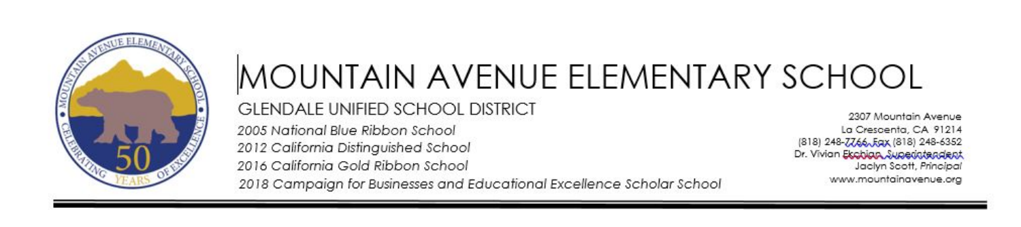

# MOUNTAIN AVENUE ELEMENTARY SCHOOL **GLENDALE UNIFIED SCHOOL DISTRICT** 2005 National Blue Ribbon School

2012 California Distinguished School 2016 California Gold Ribbon School

2307 Mountain Avenue La Crescenta, CA 91214 (818) 248-7766, Eqx (818) 248-6352 Dr. Vivian Ekobian Superintendent Jaclyn Scott, Principal www.mountainavenue.org

2018 Campaian for Businesses and Educational Excellence Scholar School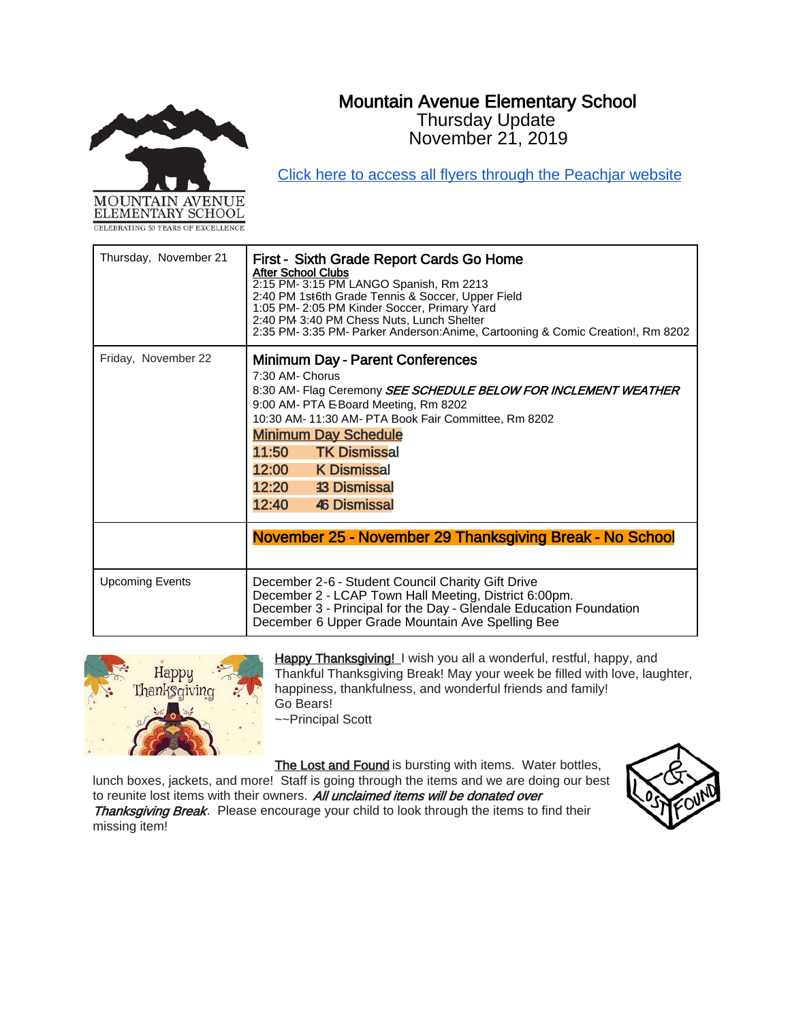# Mountain Avenue Elementary School



Thursday Update November 21, 2019

[Click here to access all flyers through the Peachjar website](https://app.peachjar.com/flyers/all/schools/55122)

| Thursday, November 21  | First - Sixth Grade Report Cards Go Home<br><b>After School Clubs</b><br>2:15 PM- 3:15 PM LANGO Spanish, Rm 2213<br>2:40 PM 1st6th Grade Tennis & Soccer, Upper Field<br>1:05 PM- 2:05 PM Kinder Soccer, Primary Yard<br>2:40 PM 3:40 PM Chess Nuts, Lunch Shelter<br>2:35 PM- 3:35 PM- Parker Anderson: Anime, Cartooning & Comic Creation!, Rm 8202                                        |
|------------------------|----------------------------------------------------------------------------------------------------------------------------------------------------------------------------------------------------------------------------------------------------------------------------------------------------------------------------------------------------------------------------------------------|
| Friday, November 22    | <b>Minimum Day - Parent Conferences</b><br>7:30 AM- Chorus<br>8:30 AM- Flag Ceremony SEE SCHEDULE BELOW FOR INCLEMENT WEATHER<br>9:00 AM- PTA E-Board Meeting, Rm 8202<br>10:30 AM- 11:30 AM- PTA Book Fair Committee, Rm 8202<br><b>Minimum Day Schedule</b><br>11:50<br><b>TK Dismissal</b><br><b>K Dismissal</b><br>12:00<br>12:20<br><b>43 Dismissal</b><br><b>46 Dismissal</b><br>12:40 |
|                        | November 25 - November 29 Thanksgiving Break - No School                                                                                                                                                                                                                                                                                                                                     |
| <b>Upcoming Events</b> | December 2-6 - Student Council Charity Gift Drive<br>December 2 - LCAP Town Hall Meeting, District 6:00pm.<br>December 3 - Principal for the Day - Glendale Education Foundation<br>December 6 Upper Grade Mountain Ave Spelling Bee                                                                                                                                                         |



Happy Thanksgiving! I wish you all a wonderful, restful, happy, and Thankful Thanksgiving Break! May your week be filled with love, laughter, happiness, thankfulness, and wonderful friends and family! Go Bears! ~~Principal Scott

The Lost and Found is bursting with items. Water bottles,

lunch boxes, jackets, and more! Staff is going through the items and we are doing our best to reunite lost items with their owners. All unclaimed items will be donated over Thanksgiving Break. Please encourage your child to look through the items to find their missing item!

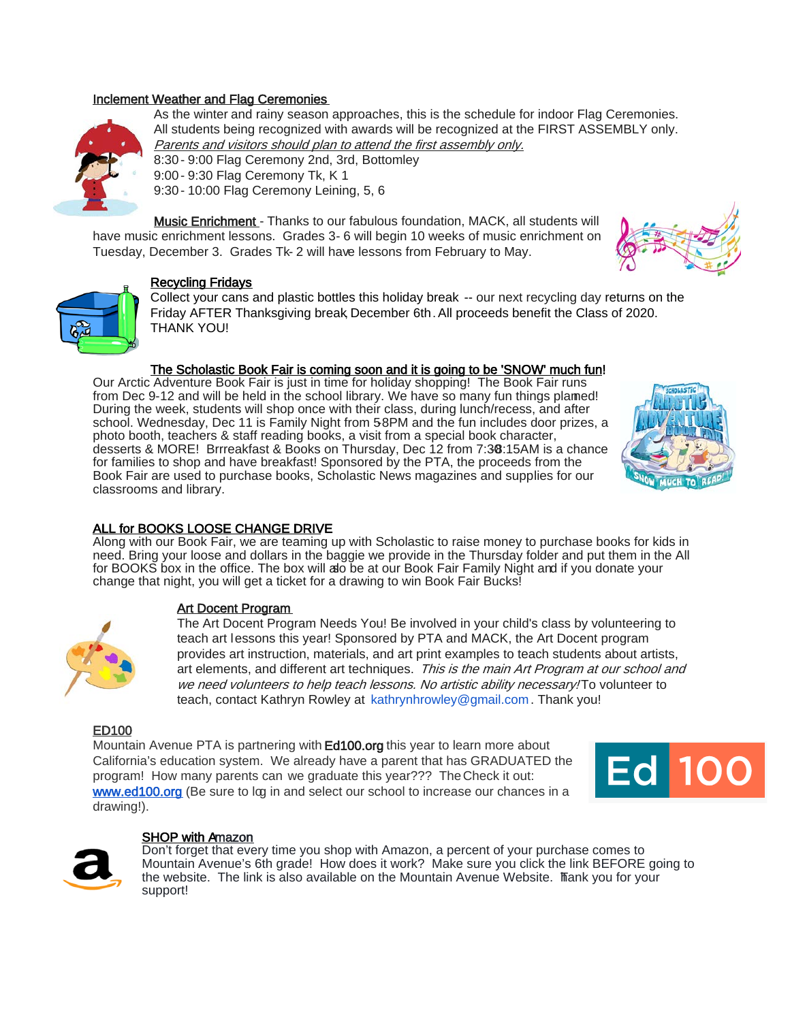## Inclement Weather and Flag Ceremonies



As the winter and rainy season approaches, this is the schedule for indoor Flag Ceremonies. All students being recognized with awards will be recognized at the FIRST ASSEMBLY only. Parents and visitors should plan to attend the first assembly only.

8:30 - 9:00 Flag Ceremony 2nd, 3rd, Bottomley 9:00 - 9:30 Flag Ceremony Tk, K 1 9:30 - 10:00 Flag Ceremony Leining, 5, 6

Music Enrichment - Thanks to our fabulous foundation, MACK, all students will have music enrichment lessons. Grades 3-6 will begin 10 weeks of music enrichment on Tuesday, December 3. Grades Tk-2 will have lessons from February to May.





## Recycling Fridays

Collect your cans and plastic bottles this holiday break -- our next recycling day returns on the Friday AFTER Thanksgiving break, December 6th. All proceeds benefit the Class of 2020. THANK YOU!

## The Scholastic Book Fair is coming soon and it is going to be 'SNOW' much fun!

Our Arctic Adventure Book Fair is just in time for holiday shopping! The Book Fair runs from Dec 9-12 and will be held in the school library. We have so many fun things planned! During the week, students will shop once with their class, during lunch/recess, and after school. Wednesday, Dec 11 is Family Night from 58PM and the fun includes door prizes, a photo booth, teachers & staff reading books, a visit from a special book character, desserts & MORE! Brrreakfast & Books on Thursday, Dec 12 from 7:38:15AM is a chance for families to shop and have breakfast! Sponsored by the PTA, the proceeds from the Book Fair are used to purchase books, Scholastic News magazines and supplies for our classrooms and library.



## ALL for BOOKS LOOSE CHANGE DRIVE

Along with our Book Fair, we are teaming up with Scholastic to raise money to purchase books for kids in need. Bring your loose and dollars in the baggie we provide in the Thursday folder and put them in the All for BOOKS box in the office. The box will also be at our Book Fair Family Night and if you donate your change that night, you will get a ticket for a drawing to win Book Fair Bucks!



#### Art Docent Program

The Art Docent Program Needs You! Be involved in your child's class by volunteering to teach art lessons this year! Sponsored by PTA and MACK, the Art Docent program provides art instruction, materials, and art print examples to teach students about artists, art elements, and different art techniques. This is the main Art Program at our school and we need volunteers to help teach lessons. No artistic ability necessary! To volunteer to teach, contact Kathryn Rowley at kathrynhrowley@gmail.com . Thank you!

## ED100

Mountain Avenue PTA is partnering with **Ed100.org** this year to learn more about California's education system. We already have a parent that has GRADUATED the program! How many parents can we graduate this year??? The Check it out: [www.ed100.org](http://www.ed100.org/) (Be sure to log in and select our school to increase our chances in a drawing!).





## **SHOP with Amazon**

Don't forget that every time you shop with Amazon, a percent of your purchase comes to Mountain Avenue's 6th grade! How does it work? Make sure you click the link BEFORE going to the website. The link is also available on the Mountain Avenue Website. Thank you for your support!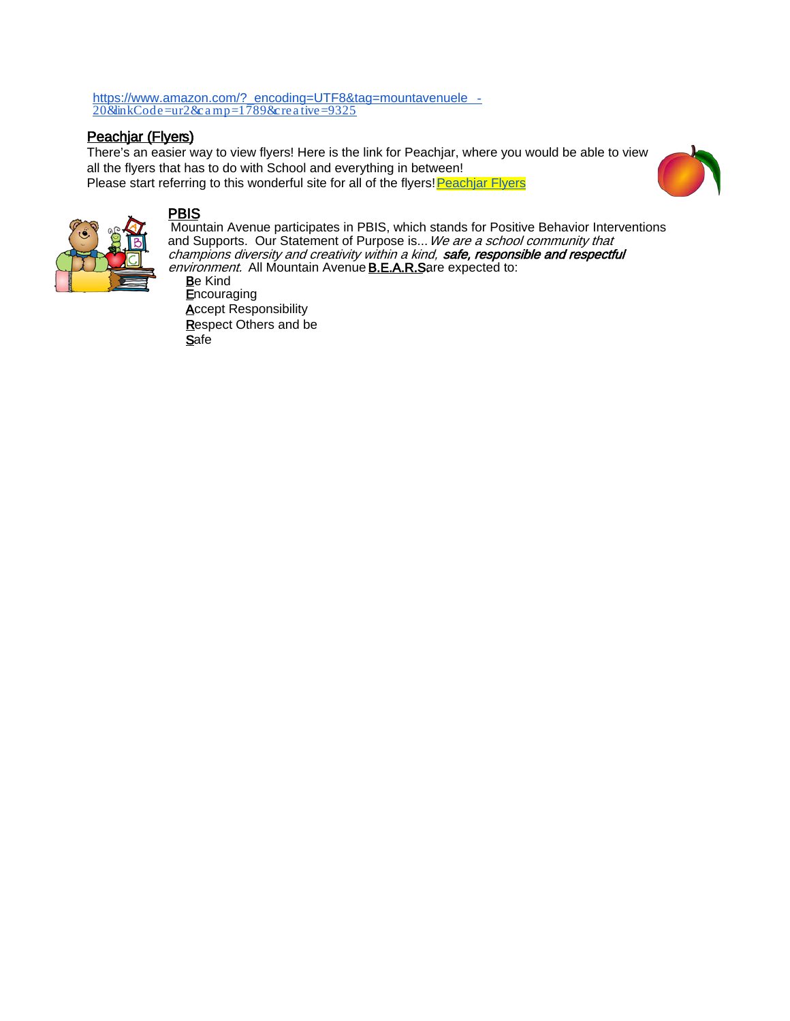[https://www.amazon.com/?\\_encoding=UTF8&tag=mountavenuele](https://www.amazon.com/?_encoding=UTF8&tag=mountavenuele-20&linkCode=ur2&camp=1789&creative=9325) -<br>20&linkCode=ur2&camp=1789&creative=9325

# Peachjar (Flyers)

There's an easier way to view flyers! Here is the link for Peachjar, where you would be able to view all the flyers that has to do with School and everything in between! Please start referring to this wonderful site for all of the flyers! Peachjar Flyers





PBIS<br>Mountain Avenue participates in PBIS, which stands for Positive Behavior Interventions and Supports. Our Statement of Purpose is... We are a school community that champions diversity and creativity within a kind, safe, responsible and respectful environment. All Mountain Avenue **B.E.A.R.S**are expected to: Be Kind

**Encouraging Accept Responsibility** Respect Others and be **Safe**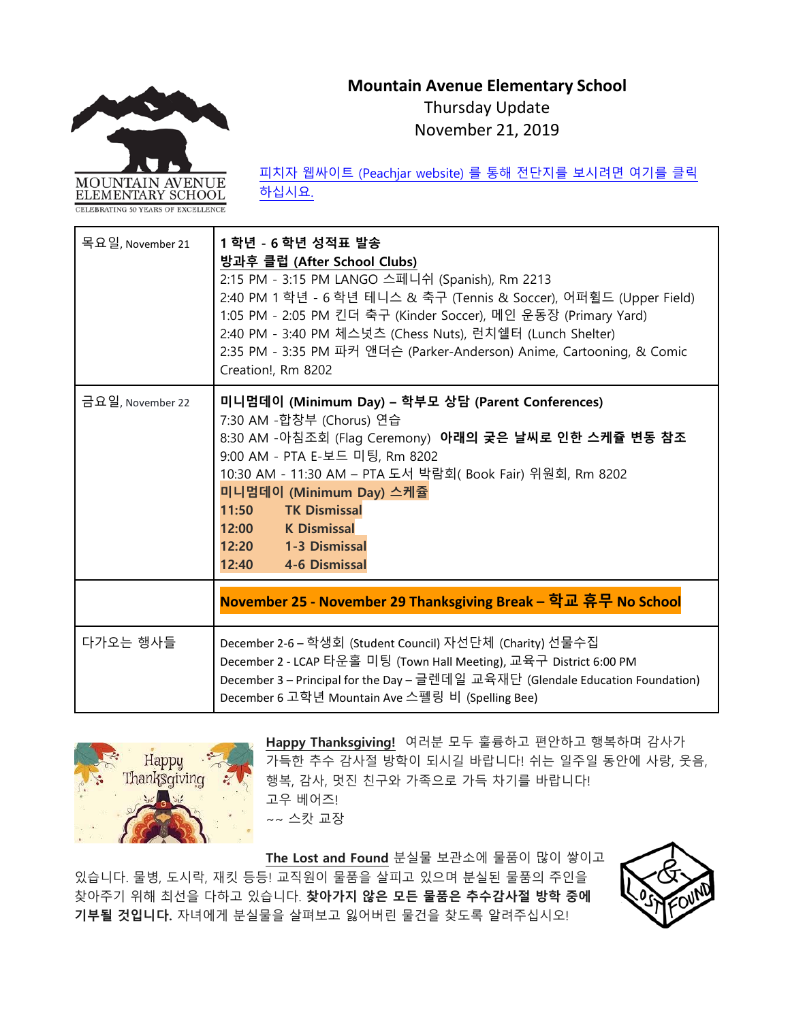# **Mountain Avenue Elementary School** Thursday Update

November 21, 2019



피치자 웹싸이트 [\(Peachjar website\)](https://app.peachjar.com/flyers/all/schools/55122) 를 통해 전단지를 보시려면 여기를 클릭 [하십시요](https://app.peachjar.com/flyers/all/schools/55122).

목요일, November 21 **1 학년 - 6 학년 성적표 발송 방과후 클럽 (After School Clubs)** 2:15 PM - 3:15 PM LANGO 스페니쉬 (Spanish), Rm 2213 2:40 PM 1 학년 - 6 학년 테니스 & 축구 (Tennis & Soccer), 어퍼휠드 (Upper Field) 1:05 PM - 2:05 PM 킨더 축구 (Kinder Soccer), 메인 운동장 (Primary Yard) 2:40 PM - 3:40 PM 체스넛츠 (Chess Nuts), 런치쉘터 (Lunch Shelter) 2:35 PM - 3:35 PM 파커 앤더슨 (Parker-Anderson) Anime, Cartooning, & Comic Creation!, Rm 8202 금요일, November 22 **미니멈데이 (Minimum Day) – 학부모 상담 (Parent Conferences)**  7:30 AM -합창부 (Chorus) 연습 8:30 AM -아침조회 (Flag Ceremony) **아래의 궂은 날씨로 인한 스케쥴 변동 참조** 9:00 AM - PTA E-보드 미팅, Rm 8202 10:30 AM - 11:30 AM – PTA 도서 박람회( Book Fair) 위원회, Rm 8202 **미니멈데이 (Minimum Day) 스케쥴 11:50 TK Dismissal 12:00 K Dismissal 12:20 1-3 Dismissal 12:40 4-6 Dismissal November 25 - November 29 Thanksgiving Break – 학교 휴무 No School**  다가오는 행사들 December 2-6 – 학생회 (Student Council) 자선단체 (Charity) 선물수집 December 2 - LCAP 타운홀 미팅 (Town Hall Meeting), 교육구 District 6:00 PM December 3 – Principal for the Day – 글렌데일 교육재단 (Glendale Education Foundation) December 6 고학년 Mountain Ave 스펠링 비 (Spelling Bee)



**Happy Thanksgiving!** 여러분 모두 훌륭하고 편안하고 행복하며 감사가 가득한 추수 감사절 방학이 되시길 바랍니다! 쉬는 일주일 동안에 사랑, 웃음, 행복, 감사, 멋진 친구와 가족으로 가득 차기를 바랍니다! 고우 베어즈! ~~ 스캇 교장

**The Lost and Found** 분실물 보관소에 물품이 많이 쌓이고 있습니다. 물병, 도시락, 재킷 등등! 교직원이 물품을 살피고 있으며 분실된 물품의 주인을 찾아주기 위해 최선을 다하고 있습니다. **찾아가지 않은 모든 물품은 추수감사절 방학 중에 기부될 것입니다.** 자녀에게 분실물을 살펴보고 잃어버린 물건을 찾도록 알려주십시오!

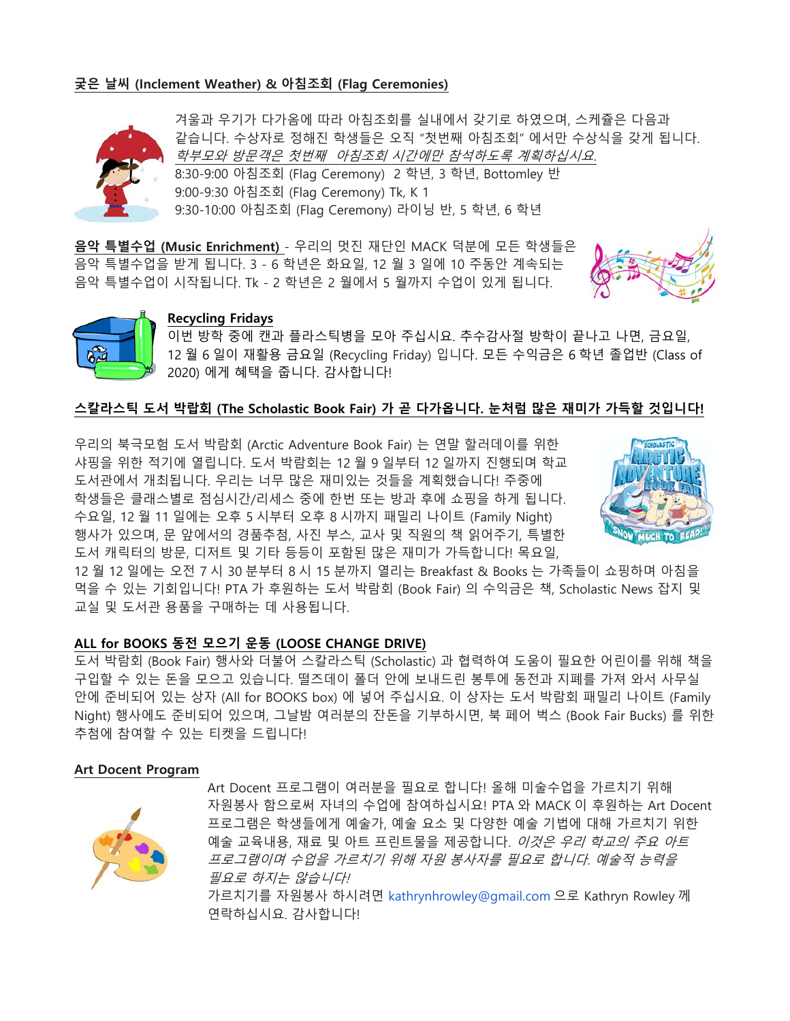## **궂은 날씨 (Inclement Weather) & 아침조회 (Flag Ceremonies)**



겨울과 우기가 다가옴에 따라 아침조회를 실내에서 갖기로 하였으며, 스케쥴은 다음과 같습니다. 수상자로 정해진 학생들은 오직 "첫번째 아침조회" 에서만 수상식을 갖게 됩니다. 학부모와 방문객은 첫번째 아침조회 시간에만 참석하도록 계획하십시요. 8:30-9:00 아침조회 (Flag Ceremony) 2 학년, 3 학년, Bottomley 반 9:00-9:30 아침조회 (Flag Ceremony) Tk, K 1 9:30-10:00 아침조회 (Flag Ceremony) 라이닝 반, 5 학년, 6 학년

**음악 특별수업 (Music Enrichment)** - 우리의 멋진 재단인 MACK 덕분에 모든 학생들은 음악 특별수업을 받게 됩니다. 3 - 6 학년은 화요일, 12 월 3 일에 10 주동안 계속되는 음악 특별수업이 시작됩니다. Tk - 2 학년은 2 월에서 5 월까지 수업이 있게 됩니다.





# **Recycling Fridays**

이번 방학 중에 캔과 플라스틱병을 모아 주십시요. 추수감사절 방학이 끝나고 나면, 금요일, 12 월 6 일이 재활용 금요일 (Recycling Friday) 입니다. 모든 수익금은 6 학년 졸업반 (Class of 2020) 에게 혜택을 줍니다. 감사합니다!

## **스칼라스틱 도서 박랍회 (The Scholastic Book Fair) 가 곧 다가옵니다. 눈처럼 많은 재미가 가득할 것입니다!**

우리의 북극모험 도서 박람회 (Arctic Adventure Book Fair) 는 연말 할러데이를 위한 샤핑을 위한 적기에 열립니다. 도서 박람회는 12 월 9 일부터 12 일까지 진행되며 학교 도서관에서 개최됩니다. 우리는 너무 많은 재미있는 것들을 계획했습니다! 주중에 학생들은 클래스별로 점심시간/리세스 중에 한번 또는 방과 후에 쇼핑을 하게 됩니다. 수요일, 12 월 11 일에는 오후 5 시부터 오후 8 시까지 패밀리 나이트 (Family Night) 행사가 있으며, 문 앞에서의 경품추첨, 사진 부스, 교사 및 직원의 책 읽어주기, 특별한 도서 캐릭터의 방문, 디저트 및 기타 등등이 포함된 많은 재미가 가득합니다! 목요일,



12 월 12 일에는 오전 7 시 30 분부터 8 시 15 분까지 열리는 Breakfast & Books 는 가족들이 쇼핑하며 아침을 먹을 수 있는 기회입니다! PTA 가 후원하는 도서 박람회 (Book Fair) 의 수익금은 책, Scholastic News 잡지 및 교실 및 도서관 용품을 구매하는 데 사용됩니다.

## **ALL for BOOKS 동전 모으기 운동 (LOOSE CHANGE DRIVE)**

도서 박람회 (Book Fair) 행사와 더불어 스칼라스틱 (Scholastic) 과 협력하여 도움이 필요한 어린이를 위해 책을 구입할 수 있는 돈을 모으고 있습니다. 떨즈데이 폴더 안에 보내드린 봉투에 동전과 지폐를 가져 와서 사무실 안에 준비되어 있는 상자 (All for BOOKS box) 에 넣어 주십시요. 이 상자는 도서 박람회 패밀리 나이트 (Family Night) 행사에도 준비되어 있으며, 그날밤 여러분의 잔돈을 기부하시면, 북 페어 벅스 (Book Fair Bucks) 를 위한 추첨에 참여할 수 있는 티켓을 드립니다!

## **Art Docent Program**



Art Docent 프로그램이 여러분을 필요로 합니다! 올해 미술수업을 가르치기 위해 자원봉사 함으로써 자녀의 수업에 참여하십시요! PTA 와 MACK 이 후원하는 Art Docent 프로그램은 학생들에게 예술가, 예술 요소 및 다양한 예술 기법에 대해 가르치기 위한 예술 교육내용, 재료 및 아트 프린트물을 제공합니다. *이것은 우리 학교의 주요 아트* 프로그램이며 수업을 가르치기 위해 자원 봉사자를 필요로 합니다. 예술적 능력을 필요로 하지는 않습니다!

가르치기를 자원봉사 하시려면 kathrynhrowley@gmail.com 으로 Kathryn Rowley 께 연락하십시요. 감사합니다!